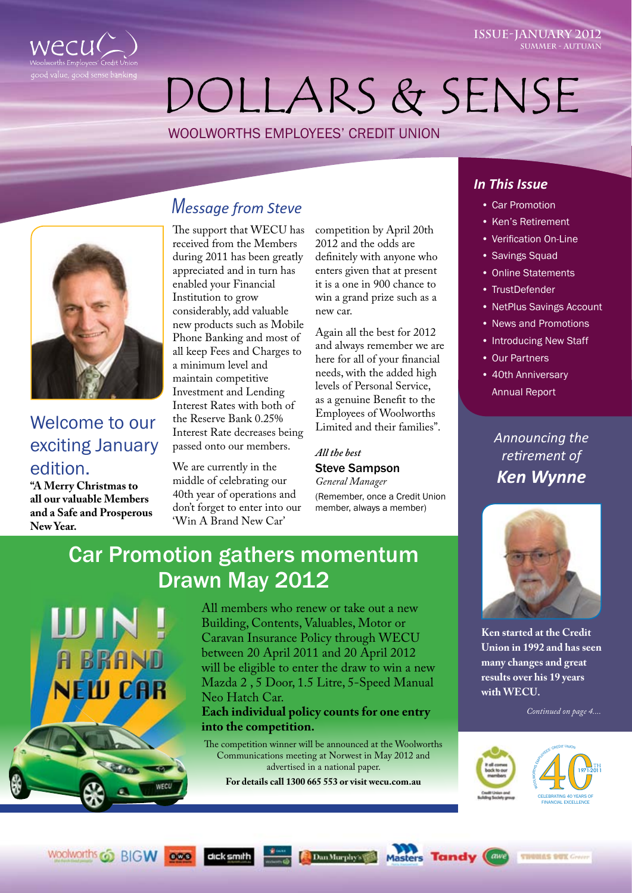

# dollars & sense

Woolworths Employees' Credit Union



## Welcome to our exciting January edition.

**"A Merry Christmas to all our valuable Members and a Safe and Prosperous New Year.** 

BRAI

**NEW CAR** 

WECO

 $000$ 

dick smith

## *Message from Steve*

The support that WECU has received from the Members during 2011 has been greatly appreciated and in turn has enabled your Financial Institution to grow considerably, add valuable new products such as Mobile Phone Banking and most of all keep Fees and Charges to a minimum level and maintain competitive Investment and Lending Interest Rates with both of the Reserve Bank 0.25% Interest Rate decreases being passed onto our members.

We are currently in the middle of celebrating our 40th year of operations and don't forget to enter into our 'Win A Brand New Car'

competition by April 20th 2012 and the odds are definitely with anyone who enters given that at present it is a one in 900 chance to win a grand prize such as a new car.

Again all the best for 2012 and always remember we are here for all of your financial needs, with the added high levels of Personal Service, as a genuine Benefit to the Employees of Woolworths Limited and their families".

#### *All the best*

#### Steve Sampson

*General Manager*  (Remember, once a Credit Union member, always a member)

## Car Promotion gathers momentum Drawn May 2012

All members who renew or take out a new Building, Contents, Valuables, Motor or Caravan Insurance Policy through WECU between 20 April 2011 and 20 April 2012 will be eligible to enter the draw to win a new Mazda 2 , 5 Door, 1.5 Litre, 5-Speed Manual Neo Hatch Car.

**Each individual policy counts for one entry into the competition.**

The competition winner will be announced at the Woolworths Communications meeting at Norwest in May 2012 and advertised in a national paper.

**For details call 1300 665 553 or visit wecu.com.au**

Dan Murphy's

Mas

#### *In This Issue*

- • Car Promotion
- • Ken's Retirement
- • Verification On-Line

**ISSUE-January 2012**

**Summer - autumn**

- Savings Squad
- **Online Statements**
- • TrustDefender
- **NetPlus Savings Account**
- • News and Promotions
- Introducing New Staff
- **Our Partners**
- 40th Anniversary Annual Report

*Announcing the retirement of Ken Wynne*



**Ken started at the Credit Union in 1992 and has seen many changes and great results over his 19 years with WECU.**

*Continued on page 4....*



**THOMAS BUX Create** 

 $($  awe

**Tandy**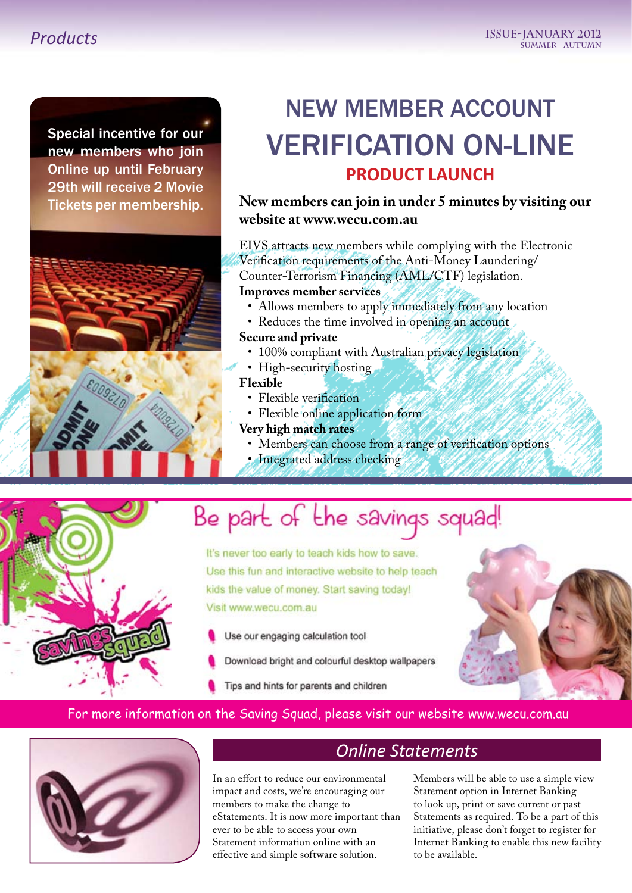### *Products*

Special incentive for our new members who join Online up until February 29th will receive 2 Movie Tickets per membership.



## NEW MEMBER ACCOUNT VERIFICATION ON-LINE **PRODUCT LAUNCH**

#### **New members can join in under 5 minutes by visiting our website at www.wecu.com.au**

EIVS attracts new members while complying with the Electronic Verification requirements of the Anti-Money Laundering/ Counter-Terrorism Financing (AML/CTF) legislation.

#### **Improves member services**

- Allows members to apply immediately from any location
- Reduces the time involved in opening an account

#### **Secure and private**

- 100% compliant with Australian privacy legislation
- High-security hosting

#### **Flexible**

- Flexible verification
- Flexible online application form
- **Very high match rates**
	- • Members can choose from a range of verification options
	- Integrated address checking



## Be part of the savings squad!

It's never too early to teach kids how to save. Use this fun and interactive website to help teach kids the value of money. Start saving today! Visit www.wecu.com.au

- Use our engaging calculation tool
- Download bright and colourful desktop wallpapers
- Tips and hints for parents and children



#### For more information on the Saving Squad, please visit our website www.wecu.com.au



### *Online Statements*

In an effort to reduce our environmental impact and costs, we're encouraging our members to make the change to eStatements. It is now more important than ever to be able to access your own Statement information online with an effective and simple software solution.

Members will be able to use a simple view Statement option in Internet Banking to look up, print or save current or past Statements as required. To be a part of this initiative, please don't forget to register for Internet Banking to enable this new facility to be available.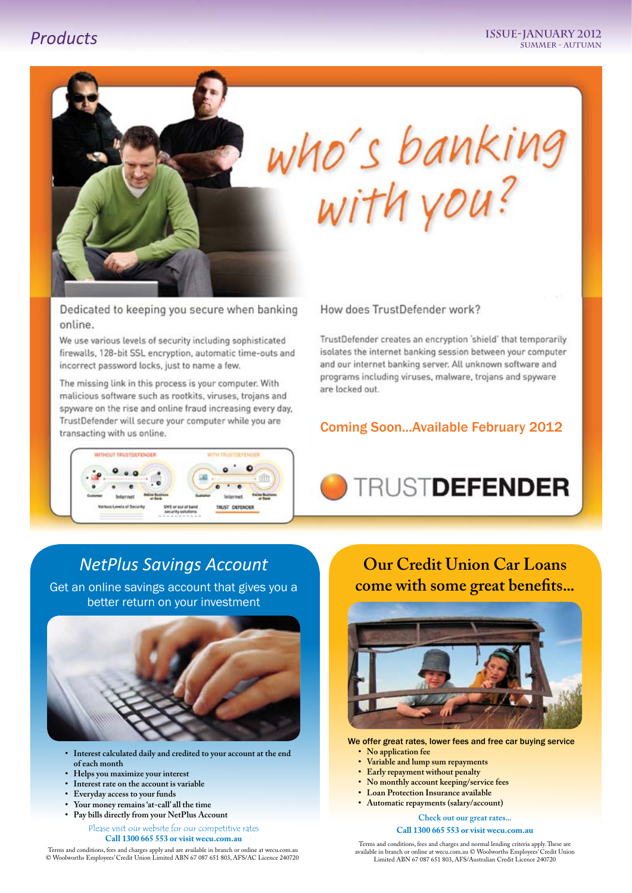

Dedicated to keeping you secure when banking online.

We use various levels of security including sophisticated firewalls, 128-bit SSL encryption, automatic time-outs and incorrect password locks, just to name a few.

The missing link in this process is your computer. With malicious software such as rootkits, viruses, trojans and spyware on the rise and online fraud increasing every day. TrustDefender will secure your computer while you are transacting with us online.



#### How does TrustDefender work?

TrustDefender creates an encryption 'shield' that temporarily isolates the internet banking session between your computer and our internet banking server. All unknown software and programs including viruses, malware, trojans and spyware are locked out.

#### Coming Soon...Available February 2012



### *NetPlus Savings Account*

Get an online savings account that gives you a better return on your investment



- **• Interest calculated daily and credited to your account at the end of each month**
- **• Helps you maximize your interest**
- **• Interest rate on the account is variable**
- **• Everyday access to your funds**
- **• Your money remains'at-call' all the time**
- **• Pay bills directly from your NetPlus Account**

Please visit our website for our competitive rates **Call 1300 665 553 or visit wecu.com.au**

Terms and conditions, fees and charges apply and are available in branch or online at wecu.com.au © Woolworths Employees' Credit Union Limited ABN 67 087 651 803, AFS/AC Licence 240720

**Our Credit Union Car Loans come with some great benefits...**



We offer great rates, lower fees and free car buying service

- **• No application fee**
- **• Variable and lump sum repayments**
- **• Early repayment without penalty**
- **• No monthly account keeping/service fees**
- **Loan Protection Insurance** available
- **• Automatic repayments (salary/account)**

**Check out our great rates...**

#### **Call 1300 665 553 or visit wecu.com.au**

Terms and conditions, fees and charges and normal lending criteria apply. These are available in branch or online at wecu.com.au © Woolworths Employees' Credit Union Limited ABN 67 087 651 803, AFS/Australian Credit Licence 240720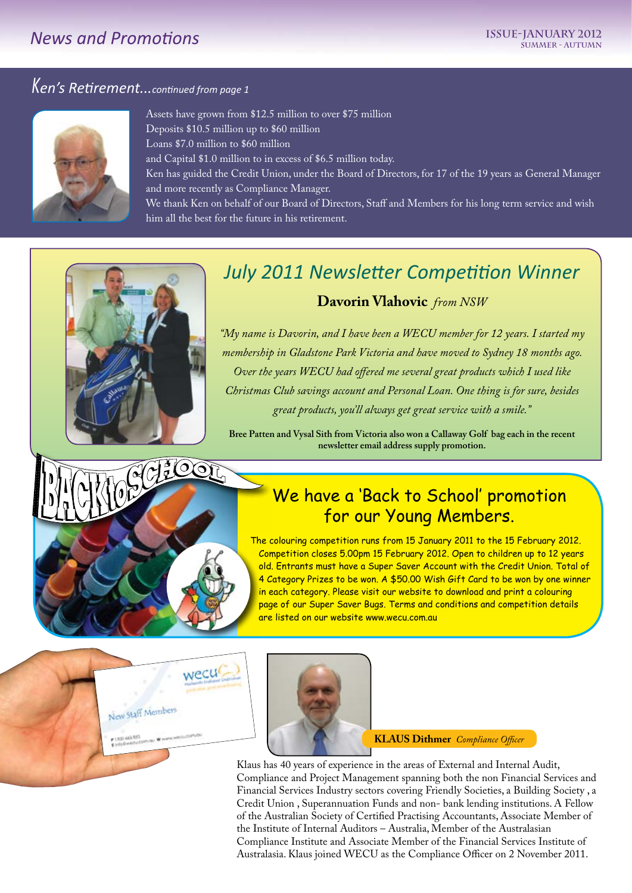### *News and Promotions*

## *Ken's Retirement...continued from page 1*



Assets have grown from \$12.5 million to over \$75 million Deposits \$10.5 million up to \$60 million Loans \$7.0 million to \$60 million and Capital \$1.0 million to in excess of \$6.5 million today. Ken has guided the Credit Union, under the Board of Directors, for 17 of the 19 years as General Manager and more recently as Compliance Manager. We thank Ken on behalf of our Board of Directors, Staff and Members for his long term service and wish him all the best for the future in his retirement.

## *July 2011 Newsletter Competition Winner* **Davorin Vlahovic** *from NSW*

*"My name is Davorin, and I have been a WECU member for 12 years. I started my membership in Gladstone Park Victoria and have moved to Sydney 18 months ago. Over the years WECU had offered me several great products which I used like Christmas Club savings account and Personal Loan. One thing is for sure, besides great products, you'll always get great service with a smile."*

**Bree Patten and Vysal Sith from Victoria also won a Callaway Golf bag each in the recent newsletter email address supply promotion.**

## We have a 'Back to School' promotion for our Young Members.

The colouring competition runs from 15 January 2011 to the 15 February 2012. Competition closes 5.00pm 15 February 2012. Open to children up to 12 years old. Entrants must have a Super Saver Account with the Credit Union. Total of 4 Category Prizes to be won. A \$50.00 Wish Gift Card to be won by one winner in each category. Please visit our website to download and print a colouring page of our Super Saver Bugs. Terms and conditions and competition details are listed on our website www.wecu.com.au



CHOOL



**KLAUS Dithmer** *Compliance Officer*

Klaus has 40 years of experience in the areas of External and Internal Audit, Compliance and Project Management spanning both the non Financial Services and Financial Services Industry sectors covering Friendly Societies, a Building Society , a Credit Union , Superannuation Funds and non- bank lending institutions. A Fellow of the Australian Society of Certified Practising Accountants, Associate Member of the Institute of Internal Auditors – Australia, Member of the Australasian Compliance Institute and Associate Member of the Financial Services Institute of Australasia. Klaus joined WECU as the Compliance Officer on 2 November 2011.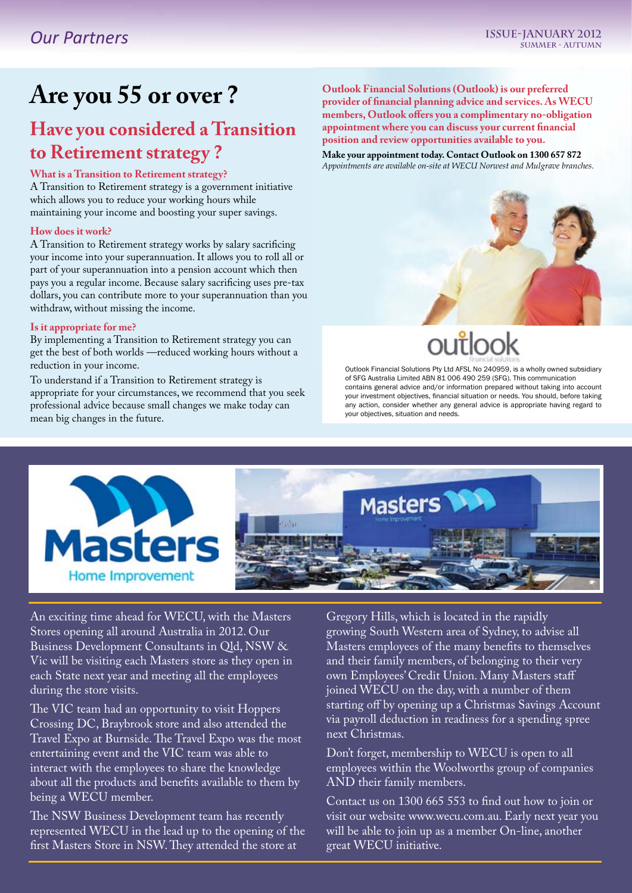## **Are you 55 or over ?**

## **Have you considered a Transition to Retirement strategy ?**

#### **What is a Transition to Retirement strategy?**

A Transition to Retirement strategy is a government initiative which allows you to reduce your working hours while maintaining your income and boosting your super savings.

#### **How does it work?**

A Transition to Retirement strategy works by salary sacrificing your income into your superannuation. It allows you to roll all or part of your superannuation into a pension account which then pays you a regular income. Because salary sacrificing uses pre-tax dollars, you can contribute more to your superannuation than you withdraw, without missing the income.

#### **Is it appropriate for me?**

By implementing a Transition to Retirement strategy you can get the best of both worlds —reduced working hours without a reduction in your income.

To understand if a Transition to Retirement strategy is appropriate for your circumstances, we recommend that you seek professional advice because small changes we make today can mean big changes in the future.

**Outlook Financial Solutions (Outlook) is our preferred provider of financial planning advice and services. As WECU members, Outlook offers you a complimentary no-obligation appointment where you can discuss your current financial position and review opportunities available to you.**

**Make your appointment today. Contact Outlook on 1300 657 872** *Appointments are available on-site at WECU Norwest and Mulgrave branches.*



## ou itlook

Outlook Financial Solutions Pty Ltd AFSL No 240959, is a wholly owned subsidiary of SFG Australia Limited ABN 81 006 490 259 (SFG). This communication contains general advice and/or information prepared without taking into account your investment objectives, financial situation or needs. You should, before taking any action, consider whether any general advice is appropriate having regard to your objectives, situation and needs.



An exciting time ahead for WECU, with the Masters Stores opening all around Australia in 2012. Our Business Development Consultants in Qld, NSW & Vic will be visiting each Masters store as they open in each State next year and meeting all the employees during the store visits.

The VIC team had an opportunity to visit Hoppers Crossing DC, Braybrook store and also attended the Travel Expo at Burnside. The Travel Expo was the most entertaining event and the VIC team was able to interact with the employees to share the knowledge about all the products and benefits available to them by being a WECU member.

The NSW Business Development team has recently represented WECU in the lead up to the opening of the first Masters Store in NSW. They attended the store at

Gregory Hills, which is located in the rapidly growing South Western area of Sydney, to advise all Masters employees of the many benefits to themselves and their family members, of belonging to their very own Employees' Credit Union. Many Masters staff joined WECU on the day, with a number of them starting off by opening up a Christmas Savings Account via payroll deduction in readiness for a spending spree next Christmas.

Don't forget, membership to WECU is open to all employees within the Woolworths group of companies AND their family members.

Contact us on 1300 665 553 to find out how to join or visit our website www.wecu.com.au. Early next year you will be able to join up as a member On-line, another great WECU initiative.